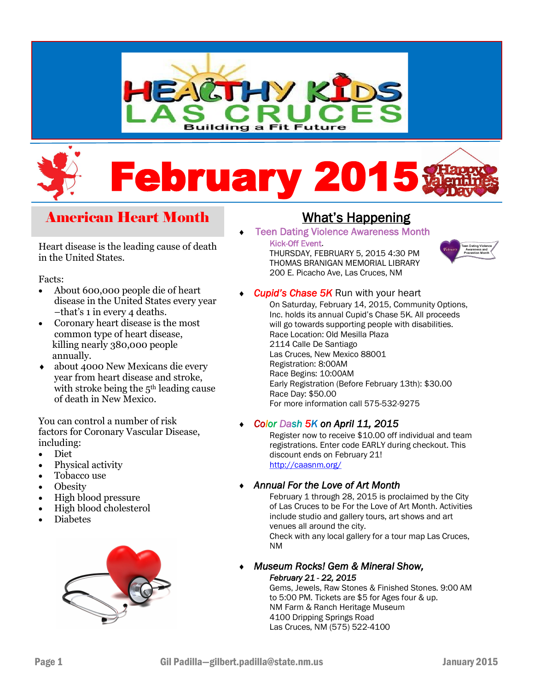

# **February**

# American Heart Month

#### Heart disease is the leading cause of death in the United States.

#### Facts:

- About 600,000 people die of heart disease in the United States every year –that's 1 in every 4 deaths.
- Coronary heart disease is the most common type of heart disease, killing nearly 380,000 people annually.
- about 4000 New Mexicans die every year from heart disease and stroke, with stroke being the 5<sup>th</sup> leading cause of death in New Mexico.

You can control a number of risk factors for Coronary Vascular Disease, including:

- Diet
- Physical activity
- Tobacco use
- Obesity
- High blood pressure
- High blood cholesterol
- Diabetes



# What's Happening

Teen Dating Violence Awareness Month

#### Kick-Off Event.

 THURSDAY, FEBRUARY 5, 2015 4:30 PM THOMAS BRANIGAN MEMORIAL LIBRARY 200 E. Picacho Ave, Las Cruces, NM



*Cupid's Chase 5K* Run with your heart

On Saturday, February 14, 2015, Community Options, Inc. holds its annual Cupid's Chase 5K. All proceeds will go towards supporting people with disabilities. Race Location: Old Mesilla Plaza 2114 Calle De Santiago Las Cruces, New Mexico 88001 Registration: 8:00AM Race Begins: 10:00AM Early Registration (Before February 13th): \$30.00 Race Day: \$50.00 For more information call 575-532-9275

#### *Color Dash 5K on April 11, 2015*

Register now to receive \$10.00 off individual and team registrations. Enter code EARLY during checkout. This discount ends on February 21! <http://caasnm.org/>

#### *Annual For the Love of Art Month*

February 1 through 28, 2015 is proclaimed by the City of Las Cruces to be For the Love of Art Month. Activities include studio and gallery tours, art shows and art venues all around the city. Check with any local gallery for a tour map Las Cruces, NM

 *Museum Rocks! Gem & Mineral Show, February 21 - 22, 2015* 

Gems, Jewels, Raw Stones & Finished Stones. 9:00 AM to 5:00 PM. Tickets are \$5 for Ages four & up. NM Farm & Ranch Heritage Museum 4100 Dripping Springs Road Las Cruces, NM (575) 522-4100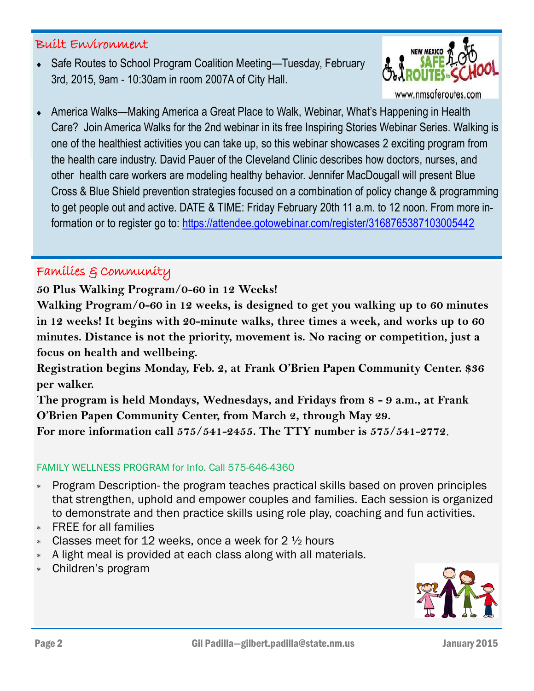# Built Environment

◆ Safe Routes to School Program Coalition Meeting—Tuesday, February 3rd, 2015, 9am - 10:30am in room 2007A of City Hall.



 America Walks—Making America a Great Place to Walk, Webinar, What's Happening in Health Care? Join America Walks for the 2nd webinar in its free Inspiring Stories Webinar Series. Walking is one of the healthiest activities you can take up, so this webinar showcases 2 exciting program from the health care industry. David Pauer of the Cleveland Clinic describes how doctors, nurses, and other health care workers are modeling healthy behavior. Jennifer MacDougall will present Blue Cross & Blue Shield prevention strategies focused on a combination of policy change & programming to get people out and active. DATE & TIME: Friday February 20th 11 a.m. to 12 noon. From more information or to register go to: <https://attendee.gotowebinar.com/register/3168765387103005442>

# Families & Community

**50 Plus Walking Program/0-60 in 12 Weeks!** 

**Walking Program/0-60 in 12 weeks, is designed to get you walking up to 60 minutes in 12 weeks! It begins with 20-minute walks, three times a week, and works up to 60 minutes. Distance is not the priority, movement is. No racing or competition, just a focus on health and wellbeing.** 

**Registration begins Monday, Feb. 2, at Frank O'Brien Papen Community Center. \$36 per walker.**

**The program is held Mondays, Wednesdays, and Fridays from 8 - 9 a.m., at Frank O'Brien Papen Community Center, from March 2, through May 29. For more information call 575/541-2455. The TTY number is 575/541-2772**.

### FAMILY WELLNESS PROGRAM for Info. Call 575-646-4360

- Program Description- the program teaches practical skills based on proven principles that strengthen, uphold and empower couples and families. Each session is organized to demonstrate and then practice skills using role play, coaching and fun activities.
- FREE for all families
- $*$  Classes meet for 12 weeks, once a week for 2  $\frac{1}{2}$  hours
- A light meal is provided at each class along with all materials.
- Children's program